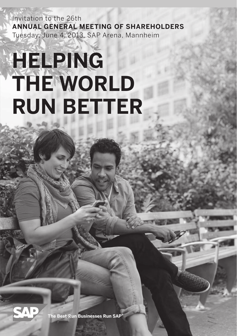Invitation to the 26th **Annual General Meeting of Shareholders** Tuesday, June 4, 2013, SAP Arena, Mannheim

# **Helping the World run Better**



**The Best-Run Businesses Run SAP®**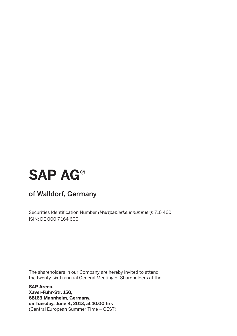# **SAP AG®**

### of Walldorf, Germany

Securities Identification Number *(Wertpapierkennnummer)*: 716 460 ISIN: DE 000 7 164 600

The shareholders in our Company are hereby invited to attend the twenty-sixth annual General Meeting of Shareholders at the

**SAP Arena, Xaver-Fuhr-Str. 150, 68163 Mannheim, Germany, on Tuesday, June 4, 2013, at 10.00 hrs**  (Central European Summer Time – CEST)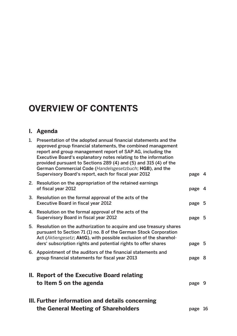# **Overview of Contents**

#### **I. Agenda**

| 1.                                                                                                | Presentation of the adopted annual financial statements and the<br>approved group financial statements, the combined management<br>report and group management report of SAP AG, including the<br>Executive Board's explanatory notes relating to the information<br>provided pursuant to Sections 289 (4) and (5) and 315 (4) of the<br>German Commercial Code (Handelsgesetzbuch; HGB), and the |        |  |  |  |  |
|---------------------------------------------------------------------------------------------------|---------------------------------------------------------------------------------------------------------------------------------------------------------------------------------------------------------------------------------------------------------------------------------------------------------------------------------------------------------------------------------------------------|--------|--|--|--|--|
|                                                                                                   | Supervisory Board's report, each for fiscal year 2012                                                                                                                                                                                                                                                                                                                                             | page 4 |  |  |  |  |
|                                                                                                   | 2. Resolution on the appropriation of the retained earnings<br>of fiscal year 2012                                                                                                                                                                                                                                                                                                                | page 4 |  |  |  |  |
|                                                                                                   | 3. Resolution on the formal approval of the acts of the<br><b>Executive Board in fiscal year 2012</b>                                                                                                                                                                                                                                                                                             | page 5 |  |  |  |  |
|                                                                                                   | 4. Resolution on the formal approval of the acts of the<br>Supervisory Board in fiscal year 2012                                                                                                                                                                                                                                                                                                  | page 5 |  |  |  |  |
| 5.                                                                                                | Resolution on the authorization to acquire and use treasury shares<br>pursuant to Section 71 (1) no. 8 of the German Stock Corporation<br>Act (Aktiengesetz; AktG), with possible exclusion of the sharehol-<br>ders' subscription rights and potential rights to offer shares                                                                                                                    | page 5 |  |  |  |  |
|                                                                                                   | 6. Appointment of the auditors of the financial statements and<br>group financial statements for fiscal year 2013                                                                                                                                                                                                                                                                                 | page 8 |  |  |  |  |
|                                                                                                   | II. Report of the Executive Board relating<br>to Item 5 on the agenda                                                                                                                                                                                                                                                                                                                             | page 9 |  |  |  |  |
| III. Further information and details concerning<br>the General Meeting of Shareholders<br>page 16 |                                                                                                                                                                                                                                                                                                                                                                                                   |        |  |  |  |  |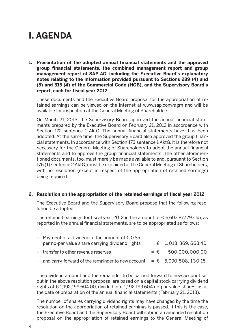# **I. AGENDA**

**1. Presentation of the adopted annual financial statements and the approved group financial statements, the combined management report and group management report of SAP AG, including the Executive Board's explanatory notes relating to the information provided pursuant to Sections 289 (4) and (5) and 315 (4) of the Commercial Code (HGB), and the Supervisory Board's report, each for fiscal year 2012**

 These documents and the Executive Board proposal for the appropriation of retained earnings can be viewed on the Internet at www.sap.com/agm and will be available for inspection at the General Meeting of Shareholders.

 On March 21, 2013, the Supervisory Board approved the annual financial statements prepared by the Executive Board on February 21, 2013 in accordance with Section 172 sentence 1 AktG. The annual financial statements have thus been adopted. At the same time, the Supervisory Board also approved the group financial statements. In accordance with Section 173 sentence 1 AktG, it is therefore not necessary for the General Meeting of Shareholders to adopt the annual financial statements and to approve the group financial statements. The other aforementioned documents, too, must merely be made available to and, pursuant to Section 176 (1) sentence 2 AktG, must be explained at the General Meeting of Shareholders, with no resolution (except in respect of the appropriation of retained earnings) being required.

#### **2. Resolution on the appropriation of the retained earnings of fiscal year 2012**

 The Executive Board and the Supervisory Board propose that the following resolution be adopted:

The retained earnings for fiscal year 2012 in the amount of  $\epsilon$  6,603,877,793.55, as reported in the annual financial statements, are to be appropriated as follows:

| − Payment of a dividend in the amount of € 0.85                               |                        |
|-------------------------------------------------------------------------------|------------------------|
| per no-par value share carrying dividend rights                               | $=$ € 1.013.369.663.40 |
| - transfer to other revenue reserves                                          | $=$ € 500.000.000.00   |
| $-$ and carry-forward of the remainder to new account = $€$ 5,090,508, 130.15 |                        |
|                                                                               |                        |

 The dividend amount and the remainder to be carried forward to new account set out in the above resolution proposal are based on a capital stock carrying dividend rights of  $\epsilon$  1,192,199,604.00, divided into 1,192,199.604 no-par value shares, as at the date of preparation of the annual financial statements (February 21, 2013).

 The number of shares carrying dividend rights may have changed by the time the resolution on the appropriation of retained earnings is passed. If this is the case, the Executive Board and the Supervisory Board will submit an amended resolution proposal on the appropriation of retained earnings to the General Meeting of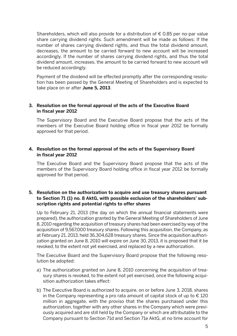Shareholders, which will also provide for a distribution of  $\epsilon$  0.85 per no-par value share carrying dividend rights. Such amendment will be made as follows: If the number of shares carrying dividend rights, and thus the total dividend amount, decreases, the amount to be carried forward to new account will be increased accordingly. If the number of shares carrying dividend rights, and thus the total dividend amount, increases, the amount to be carried forward to new account will be reduced accordingly.

 Payment of the dividend will be effected promptly after the corresponding resolution has been passed by the General Meeting of Shareholders and is expected to take place on or after **June 5, 2013**.

#### **3. Resolution on the formal approval of the acts of the Executive Board in fiscal year 2012**

 The Supervisory Board and the Executive Board propose that the acts of the members of the Executive Board holding office in fiscal year 2012 be formally approved for that period.

#### **4. Resolution on the formal approval of the acts of the Supervisory Board in fiscal year 2012**

 The Executive Board and the Supervisory Board propose that the acts of the members of the Supervisory Board holding office in fiscal year 2012 be formally approved for that period.

#### **5. Resolution on the authorization to acquire and use treasury shares pursuant to Section 71 (1) no. 8 AktG, with possible exclusion of the shareholders' subscription rights and potential rights to offer shares**

 Up to February 21, 2013 (the day on which the annual financial statements were prepared), the authorization granted by the General Meeting of Shareholders of June 8, 2010 regarding the acquisition of treasury shares had been exercised by way of the acquisition of 9,567,000 treasury shares. Following this acquisition, the Company, as at February 21, 2013, held 36,304,628 treasury shares. Since the acquisition authorization granted on June 8, 2010 will expire on June 30, 2013, it is proposed that it be revoked, to the extent not yet exercised, and replaced by a new authorization.

 The Executive Board and the Supervisory Board propose that the following resolution be adopted:

- a) The authorization granted on June 8, 2010 concerning the acquisition of treasury shares is revoked, to the extent not yet exercised, once the following acquisition authorization takes effect:
- b) The Executive Board is authorized to acquire, on or before June 3, 2018, shares in the Company representing a pro rata amount of capital stock of up to  $\epsilon$  120 million in aggregate, with the proviso that the shares purchased under this authorization, together with any other shares in the Company which were previously acquired and are still held by the Company or which are attributable to the Company pursuant to Section 71d and Section 71e AktG, at no time account for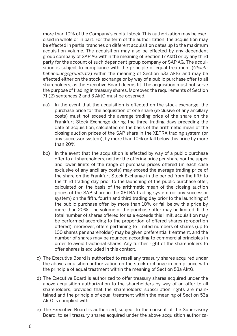more than 10% of the Company's capital stock. This authorization may be exercised in whole or in part. For the term of the authorization, the acquisition may be effected in partial tranches on different acquisition dates up to the maximum acquisition volume. The acquisition may also be effected by any dependent group company of SAP AG within the meaning of Section 17 AktG or by any third party for the account of such dependent group company or SAP AG. The acquisition is subject to compliance with the principle of equal treatment (*Gleichbehandlungsgrundsatz*) within the meaning of Section 53a AktG and may be effected either on the stock exchange or by way of a public purchase offer to all shareholders, as the Executive Board deems fit. The acquisition must not serve the purpose of trading in treasury shares. Moreover, the requirements of Section 71 (2) sentences 2 and 3 AktG must be observed.

- aa) In the event that the acquisition is effected on the stock exchange, the purchase price for the acquisition of one share (exclusive of any ancillary costs) must not exceed the average trading price of the share on the Frankfurt Stock Exchange during the three trading days preceding the date of acquisition, calculated on the basis of the arithmetic mean of the closing auction prices of the SAP share in the XETRA trading system (or any successor system), by more than 10% or fall below this price by more than 20%.
- bb) In the event that the acquisition is effected by way of a public purchase offer to all shareholders, neither the offering price per share nor the upper and lower limits of the range of purchase prices offered (in each case exclusive of any ancillary costs) may exceed the average trading price of the share on the Frankfurt Stock Exchange in the period from the fifth to the third trading day prior to the launching of the public purchase offer, calculated on the basis of the arithmetic mean of the closing auction prices of the SAP share in the XETRA trading system (or any successor system) on the fifth, fourth and third trading day prior to the launching of the public purchase offer, by more than 10% or fall below this price by more than 20%. The volume of the purchase offer may be limited. If the total number of shares offered for sale exceeds this limit, acquisition may be performed according to the proportion of offered shares (proportion offered); moreover, offers pertaining to limited numbers of shares (up to 100 shares per shareholder) may be given preferential treatment, and the number of shares may be rounded according to commercial principles in order to avoid fractional shares. Any further right of the shareholders to offer shares is excluded in this context.
- c) The Executive Board is authorized to resell any treasury shares acquired under the above acquisition authorization on the stock exchange in compliance with the principle of equal treatment within the meaning of Section 53a AktG.
- d) The Executive Board is authorized to offer treasury shares acquired under the above acquisition authorization to the shareholders by way of an offer to all shareholders, provided that the shareholders' subscription rights are maintained and the principle of equal treatment within the meaning of Section 53a AktG is complied with.
- e) The Executive Board is authorized, subject to the consent of the Supervisory Board, to sell treasury shares acquired under the above acquisition authoriza-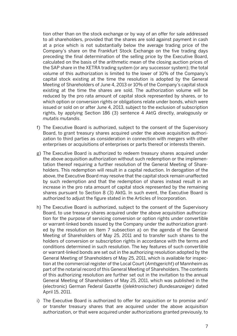tion other than on the stock exchange or by way of an offer for sale addressed to all shareholders, provided that the shares are sold against payment in cash at a price which is not substantially below the average trading price of the Company's share on the Frankfurt Stock Exchange on the five trading days preceding the final determination of the selling price by the Executive Board, calculated on the basis of the arithmetic mean of the closing auction prices of the SAP share in the XETRA trading system (or any successor system); the total volume of this authorization is limited to the lower of 10% of the Company's capital stock existing at the time the resolution is adopted by the General Meeting of Shareholders of June 4, 2013 or 10% of the Company's capital stock existing at the time the shares are sold. The authorization volume will be reduced by the pro rata amount of capital stock represented by shares, or to which option or conversion rights or obligations relate under bonds, which were issued or sold on or after June 4, 2013, subject to the exclusion of subscription rights, by applying Section 186 (3) sentence 4 AktG directly, analogously or *mutatis mutandis*.

- f) The Executive Board is authorized, subject to the consent of the Supervisory Board, to grant treasury shares acquired under the above acquisition authorization to third parties as consideration in connection with mergers with other enterprises or acquisitions of enterprises or parts thereof or interests therein.
- g) The Executive Board is authorized to redeem treasury shares acquired under the above acquisition authorization without such redemption or the implementation thereof requiring a further resolution of the General Meeting of Shareholders. This redemption will result in a capital reduction. In derogation of the above, the Executive Board may resolve that the capital stock remain unaffected by such redemption and that the redemption of shares instead result in an increase in the pro rata amount of capital stock represented by the remaining shares pursuant to Section 8 (3) AktG. In such event, the Executive Board is authorized to adjust the figure stated in the Articles of Incorporation.
- h) The Executive Board is authorized, subject to the consent of the Supervisory Board, to use treasury shares acquired under the above acquisition authorization for the purpose of servicing conversion or option rights under convertible or warrant-linked bonds issued by the Company under the authorization granted by the resolution on Item 7 subsection a) on the agenda of the General Meeting of Shareholders of May 25, 2011 and to transfer such shares to the holders of conversion or subscription rights in accordance with the terms and conditions determined in such resolution. The key features of such convertible or warrant-linked bonds are set out in the authorizing resolution adopted by the General Meeting of Shareholders of May 25, 2011, which is available for inspection at the commercial register of the Local Court (*Amtsgericht*) of Mannheim as part of the notarial record of this General Meeting of Shareholders. The contents of this authorizing resolution are further set out in the invitation to the annual General Meeting of Shareholders of May 25, 2011, which was published in the (electronic) German Federal Gazette (*(elektronischer) Bundesanzeiger*) dated April 15, 2011.
- i) The Executive Board is authorized to offer for acquisition or to promise and/ or transfer treasury shares that are acquired under the above acquisition authorization, or that were acquired under authorizations granted previously, to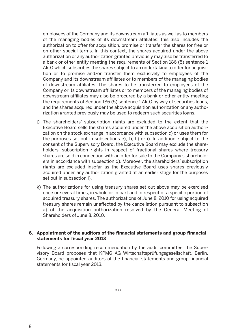employees of the Company and its downstream affiliates as well as to members of the managing bodies of its downstream affiliates; this also includes the authorization to offer for acquisition, promise or transfer the shares for free or on other special terms. In this context, the shares acquired under the above authorization or any authorization granted previously may also be transferred to a bank or other entity meeting the requirements of Section 186 (5) sentence 1 AktG which subscribes the shares subject to an undertaking to offer for acquisition or to promise and/or transfer them exclusively to employees of the Company and its downstream affiliates or to members of the managing bodies of downstream affiliates. The shares to be transferred to employees of the Company or its downstream affiliates or to members of the managing bodies of downstream affiliates may also be procured by a bank or other entity meeting the requirements of Section 186 (5) sentence 1 AktG by way of securities loans, and the shares acquired under the above acquisition authorization or any authorization granted previously may be used to redeem such securities loans.

- j) The shareholders' subscription rights are excluded to the extent that the Executive Board sells the shares acquired under the above acquisition authorization on the stock exchange in accordance with subsection c) or uses them for the purposes set out in subsections e), f), h) or i). In addition, subject to the consent of the Supervisory Board, the Executive Board may exclude the shareholders' subscription rights in respect of fractional shares where treasury shares are sold in connection with an offer for sale to the Company's shareholders in accordance with subsection d). Moreover, the shareholders' subscription rights are excluded insofar as the Executive Board uses shares previously acquired under any authorization granted at an earlier stage for the purposes set out in subsection i).
- k) The authorizations for using treasury shares set out above may be exercised once or several times, in whole or in part and in respect of a specific portion of acquired treasury shares. The authorizations of June 8, 2010 for using acquired treasury shares remain unaffected by the cancellation pursuant to subsection a) of the acquisition authorization resolved by the General Meeting of Shareholders of June 8, 2010.

#### **6. Appointment of the auditors of the financial statements and group financial statements for fiscal year 2013**

 Following a corresponding recommendation by the audit committee, the Supervisory Board proposes that KPMG AG Wirtschaftsprüfungsgesellschaft, Berlin, Germany, be appointed auditors of the financial statements and group financial statements for fiscal year 2013.

\*\*\*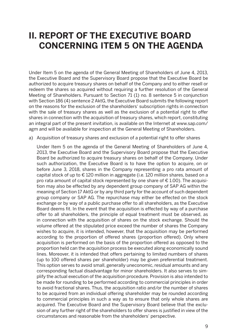## **II. Report of the Executive Board concerning Item 5 on the agenda**

Under Item 5 on the agenda of the General Meeting of Shareholders of June 4, 2013, the Executive Board and the Supervisory Board propose that the Executive Board be authorized to acquire treasury shares on behalf of the Company and to either resell or redeem the shares so acquired without requiring a further resolution of the General Meeting of Shareholders. Pursuant to Section 71 (1) no. 8 sentence 5 in conjunction with Section 186 (4) sentence 2 AktG, the Executive Board submits the following report on the reasons for the exclusion of the shareholders' subscription rights in connection with the sale of treasury shares as well as the exclusion of a potential right to offer shares in connection with the acquisition of treasury shares, which report, constituting an integral part of the present invitation, is available on the Internet at www.sap.com/ agm and will be available for inspection at the General Meeting of Shareholders.

a) Acquisition of treasury shares and exclusion of a potential right to offer shares

 Under Item 5 on the agenda of the General Meeting of Shareholders of June 4, 2013, the Executive Board and the Supervisory Board propose that the Executive Board be authorized to acquire treasury shares on behalf of the Company. Under such authorization, the Executive Board is to have the option to acquire, on or before June 3, 2018, shares in the Company representing a pro rata amount of capital stock of up to € 120 million in aggregate (i.e. 120 million shares, based on a pro rata amount of capital stock represented by one share of  $\epsilon$  1.00). The acquisition may also be effected by any dependent group company of SAP AG within the meaning of Section 17 AktG or by any third party for the account of such dependent group company or SAP AG. The repurchase may either be effected on the stock exchange or by way of a public purchase offer to all shareholders, as the Executive Board deems fit. In the event that the acquisition is effected by way of a purchase offer to all shareholders, the principle of equal treatment must be observed, as in connection with the acquisition of shares on the stock exchange. Should the volume offered at the stipulated price exceed the number of shares the Company wishes to acquire, it is intended, however, that the acquisition may be performed according to the proportion of offered shares (proportion offered). Only where acquisition is performed on the basis of the proportion offered as opposed to the proportion held can the acquisition process be executed along economically sound lines. Moreover, it is intended that offers pertaining to limited numbers of shares (up to 100 offered shares per shareholder) may be given preferential treatment. This option serves to avoid small, generally uneconomic, residual amounts and any corresponding factual disadvantage for minor shareholders. It also serves to simplify the actual execution of the acquisition procedure. Provision is also intended to be made for rounding to be performed according to commercial principles in order to avoid fractional shares. Thus, the acquisition ratio and/or the number of shares to be acquired from an individual offering shareholder may be rounded according to commercial principles in such a way as to ensure that only whole shares are acquired. The Executive Board and the Supervisory Board believe that the exclusion of any further right of the shareholders to offer shares is justified in view of the circumstances and reasonable from the shareholders' perspective.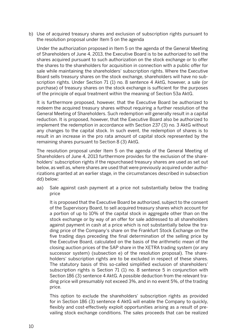b) Use of acquired treasury shares and exclusion of subscription rights pursuant to the resolution proposal under Item 5 on the agenda

 Under the authorization proposed in Item 5 on the agenda of the General Meeting of Shareholders of June 4, 2013, the Executive Board is to be authorized to sell the shares acquired pursuant to such authorization on the stock exchange or to offer the shares to the shareholders for acquisition in connection with a public offer for sale while maintaining the shareholders' subscription rights. Where the Executive Board sells treasury shares on the stock exchange, shareholders will have no subscription rights. Under Section 71 (1) no. 8 sentence 4 AktG, however, a sale (or purchase) of treasury shares on the stock exchange is sufficient for the purposes of the principle of equal treatment within the meaning of Section 53a AktG.

 It is furthermore proposed, however, that the Executive Board be authorized to redeem the acquired treasury shares without requiring a further resolution of the General Meeting of Shareholders. Such redemption will generally result in a capital reduction. It is proposed, however, that the Executive Board also be authorized to implement the redemption in accordance with Section 237 (3) no. 3 AktG without any changes to the capital stock. In such event, the redemption of shares is to result in an increase in the pro rata amount of capital stock represented by the remaining shares pursuant to Section 8 (3) AktG.

 The resolution proposal under Item 5 on the agenda of the General Meeting of Shareholders of June 4, 2013 furthermore provides for the exclusion of the shareholders' subscription rights if the repurchased treasury shares are used as set out below, as well as, where shares are used that were previously acquired under authorizations granted at an earlier stage, in the circumstances described in subsection dd) below:

aa) Sale against cash payment at a price not substantially below the trading price

 It is proposed that the Executive Board be authorized, subject to the consent of the Supervisory Board, to sell acquired treasury shares which account for a portion of up to 10% of the capital stock in aggregate other than on the stock exchange or by way of an offer for sale addressed to all shareholders against payment in cash at a price which is not substantially below the trading price of the Company's share on the Frankfurt Stock Exchange on the five trading days preceding the final determination of the selling price by the Executive Board, calculated on the basis of the arithmetic mean of the closing auction prices of the SAP share in the XETRA trading system (or any successor system) (subsection e) of the resolution proposal). The shareholders' subscription rights are to be excluded in respect of these shares. The statutory basis of this so-called simplified exclusion of shareholders' subscription rights is Section 71 (1) no. 8 sentence 5 in conjunction with Section 186 (3) sentence 4 AktG. A possible deduction from the relevant trading price will presumably not exceed 3%, and in no event 5%, of the trading price.

 This option to exclude the shareholders' subscription rights as provided for in Section 186 (3) sentence 4 AktG will enable the Company to quickly, flexibly and cost-effectively exploit opportunities arising as a result of prevailing stock exchange conditions. The sales proceeds that can be realized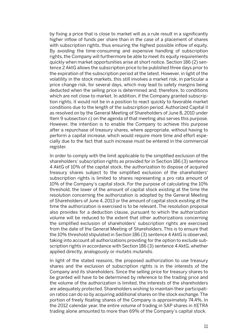by fixing a price that is close to market will as a rule result in a significantly higher inflow of funds per share than in the case of a placement of shares with subscription rights, thus ensuring the highest possible inflow of equity. By avoiding the time-consuming and expensive handling of subscription rights, the Company will furthermore be able to meet its equity requirements quickly when market opportunities arise at short notice. Section 186 (2) sentence 2 AktG allows the subscription price to be published three days prior to the expiration of the subscription period at the latest. However, in light of the volatility in the stock markets, this still involves a market risk, in particular a price change risk, for several days, which may lead to safety margins being deducted when the selling price is determined and, therefore, to conditions which are not close to market. In addition, if the Company granted subscription rights, it would not be in a position to react quickly to favorable market conditions due to the length of the subscription period. Authorized Capital II as resolved on by the General Meeting of Shareholders of June 8, 2010 under Item 9 subsection c) on the agenda of that meeting also serves this purpose. However, the intention is to enable the Company to achieve this purpose after a repurchase of treasury shares, where appropriate, without having to perform a capital increase, which would require more time and effort especially due to the fact that such increase must be entered in the commercial register.

 In order to comply with the limit applicable to the simplified exclusion of the shareholders' subscription rights as provided for in Section 186 (3) sentence 4 AktG of 10% of the capital stock, the authorization to dispose of acquired treasury shares subject to the simplified exclusion of the shareholders' subscription rights is limited to shares representing a pro rata amount of 10% of the Company's capital stock. For the purpose of calculating the 10% threshold, the lower of the amount of capital stock existing at the time the resolution concerning the authorization is adopted by the General Meeting of Shareholders of June 4, 2013 or the amount of capital stock existing at the time the authorization is exercised is to be relevant. The resolution proposal also provides for a deduction clause, pursuant to which the authorization volume will be reduced to the extent that other authorizations concerning the simplified exclusion of shareholders' subscription rights are exercised from the date of the General Meeting of Shareholders. This is to ensure that the 10% threshold stipulated in Section 186 (3) sentence 4 AktG is observed, taking into account all authorizations providing for the option to exclude subscription rights in accordance with Section 186 (3) sentence 4 AktG, whether applied directly, analogously or *mutatis mutandis*.

 In light of the stated reasons, the proposed authorization to use treasury shares and the exclusion of subscription rights is in the interests of the Company and its shareholders. Since the selling price for treasury shares to be granted will have to be determined by reference to the trading price and the volume of the authorization is limited, the interests of the shareholders are adequately protected. Shareholders wishing to maintain their participation ratios can do so by acquiring additional shares on the stock exchange. The portion of freely floating shares of the Company is approximately 74.4%. In the 2012 calendar year, the entire volume of trading in SAP shares in XETRA trading alone amounted to more than 69% of the Company's capital stock.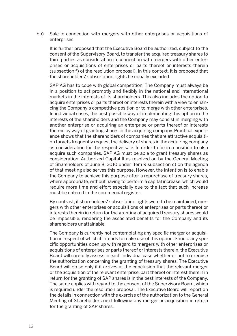bb) Sale in connection with mergers with other enterprises or acquisitions of enterprises

 It is further proposed that the Executive Board be authorized, subject to the consent of the Supervisory Board, to transfer the acquired treasury shares to third parties as consideration in connection with mergers with other enterprises or acquisitions of enterprises or parts thereof or interests therein (subsection f) of the resolution proposal). In this context, it is proposed that the shareholders' subscription rights be equally excluded.

 SAP AG has to cope with global competition. The Company must always be in a position to act promptly and flexibly in the national and international markets in the interests of its shareholders. This also includes the option to acquire enterprises or parts thereof or interests therein with a view to enhancing the Company's competitive position or to merge with other enterprises. In individual cases, the best possible way of implementing this option in the interests of the shareholders and the Company may consist in merging with another enterprise or acquiring an enterprise or parts thereof or interests therein by way of granting shares in the acquiring company. Practical experience shows that the shareholders of companies that are attractive acquisition targets frequently request the delivery of shares in the acquiring company as consideration for the respective sale. In order to be in a position to also acquire such companies, SAP AG must be able to grant treasury shares as consideration. Authorized Capital II as resolved on by the General Meeting of Shareholders of June 8, 2010 under Item 9 subsection c) on the agenda of that meeting also serves this purpose. However, the intention is to enable the Company to achieve this purpose after a repurchase of treasury shares, where appropriate, without having to perform a capital increase, which would require more time and effort especially due to the fact that such increase must be entered in the commercial register.

 By contrast, if shareholders' subscription rights were to be maintained, mergers with other enterprises or acquisitions of enterprises or parts thereof or interests therein in return for the granting of acquired treasury shares would be impossible, rendering the associated benefits for the Company and its shareholders unattainable.

 The Company is currently not contemplating any specific merger or acquisition in respect of which it intends to make use of this option. Should any specific opportunities open up with regard to mergers with other enterprises or acquisitions of enterprises or parts thereof or interests therein, the Executive Board will carefully assess in each individual case whether or not to exercise the authorization concerning the granting of treasury shares. The Executive Board will do so only if it arrives at the conclusion that the relevant merger or the acquisition of the relevant enterprise, part thereof or interest therein in return for the granting of SAP shares is in the best interests of the Company. The same applies with regard to the consent of the Supervisory Board, which is required under the resolution proposal. The Executive Board will report on the details in connection with the exercise of the authorization to the General Meeting of Shareholders next following any merger or acquisition in return for the granting of SAP shares.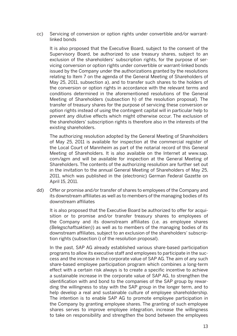cc) Servicing of conversion or option rights under convertible and/or warrantlinked bonds

 It is also proposed that the Executive Board, subject to the consent of the Supervisory Board, be authorized to use treasury shares, subject to an exclusion of the shareholders' subscription rights, for the purpose of servicing conversion or option rights under convertible or warrant-linked bonds issued by the Company under the authorizations granted by the resolutions relating to Item 7 on the agenda of the General Meeting of Shareholders of May 25, 2011, subsection a), and to transfer such shares to the holders of the conversion or option rights in accordance with the relevant terms and conditions determined in the aforementioned resolutions of the General Meeting of Shareholders (subsection h) of the resolution proposal). The transfer of treasury shares for the purpose of servicing these conversion or option rights instead of using the contingent capital will in particular help to prevent any dilutive effects which might otherwise occur. The exclusion of the shareholders' subscription rights is therefore also in the interests of the existing shareholders.

 The authorizing resolution adopted by the General Meeting of Shareholders of May 25, 2011 is available for inspection at the commercial register of the Local Court of Mannheim as part of the notarial record of this General Meeting of Shareholders. It is also available on the Internet at www.sap. com/agm and will be available for inspection at the General Meeting of Shareholders. The contents of the authorizing resolution are further set out in the invitation to the annual General Meeting of Shareholders of May 25, 2011, which was published in the (electronic) German Federal Gazette on April 15, 2011.

dd) Offer or promise and/or transfer of shares to employees of the Company and its downstream affiliates as well as to members of the managing bodies of its downstream affiliates

 It is also proposed that the Executive Board be authorized to offer for acquisition or to promise and/or transfer treasury shares to employees of the Company and its downstream affiliates (i.e. as employee shares *(Belegschaftsaktien)*) as well as to members of the managing bodies of its downstream affiliates, subject to an exclusion of the shareholders' subscription rights (subsection i) of the resolution proposal).

 In the past, SAP AG already established various share-based participation programs to allow its executive staff and employees to participate in the success and the increase in the corporate value of SAP AG. The aim of any such share-based employee participation program which combines a long-term effect with a certain risk always is to create a specific incentive to achieve a sustainable increase in the corporate value of SAP AG, to strengthen the identification with and bond to the companies of the SAP group by rewarding the willingness to stay with the SAP group in the longer term, and to help develop a real and sustainable culture of employee shareholdership. The intention is to enable SAP AG to promote employee participation in the Company by granting employee shares. The granting of such employee shares serves to improve employee integration, increase the willingness to take on responsibility and strengthen the bond between the employees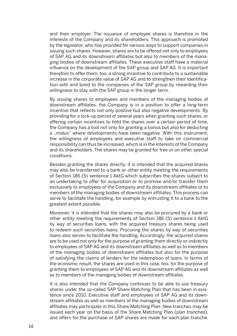and their employer. The issuance of employee shares is therefore in the interests of the Company and its shareholders. This approach is promoted by the legislator, who has provided for various ways to support companies in issuing such shares. However, shares are to be offered not only to employees of SAP AG and its downstream affiliates but also to members of the managing bodies of downstream affiliates. These executive staff have a material influence on the development of the SAP group and SAP AG. It is important therefore to offer them, too, a strong incentive to contribute to a sustainable increase in the corporate value of SAP AG and to strengthen their identification with and bond to the companies of the SAP group by rewarding their willingness to stay with the SAP group in the longer term.

 By issuing shares to employees and members of the managing bodies of downstream affiliates, the Company is in a position to offer a long-term incentive that reflects not only positive but also negative developments. By providing for a lock-up period of several years when granting such shares, or offering certain incentives to hold the shares over a certain period of time, the Company has a tool not only for granting a bonus but also for deducting a "malus" where developments have been negative. With this instrument, the willingness of employees and executive staff to take on commercial responsibility can thus be increased, which is in the interests of the Company and its shareholders. The shares may be granted for free or on other special conditions.

 Besides granting the shares directly, it is intended that the acquired shares may also be transferred to a bank or other entity meeting the requirements of Section 186 (5) sentence 1 AktG which subscribes the shares subject to an undertaking to offer for acquisition or to promise and/or transfer them exclusively to employees of the Company and its downstream affiliates or to members of the managing bodies of downstream affiliates. This process can serve to facilitate the handling, for example by entrusting it to a bank to the greatest extent possible.

 Moreover, it is intended that the shares may also be procured by a bank or other entity meeting the requirements of Section 186 (5) sentence 1 AktG by way of securities loans, with the acquired treasury shares being used to redeem such securities loans. Procuring the shares by way of securities loans also serves to facilitate the handling. Accordingly, the acquired shares are to be used not only for the purpose of granting them directly or indirectly to employees of SAP AG and its downstream affiliates as well as to members of the managing bodies of downstream affiliates but also for the purpose of satisfying the claims of lenders for the redemption of loans. In terms of the economic result, the shares are used in this case, too, for the purpose of granting them to employees of SAP AG and its downstream affiliates as well as to members of the managing bodies of downstream affiliates.

 It is also intended that the Company continues to be able to use treasury shares under the so-called SAP Share Matching Plan that has been in existence since 2010. Executive staff and employees of SAP AG and its downstream affiliates as well as members of the managing bodies of downstream affiliates may participate in this Share Matching Plan. New tranches may be issued each year on the basis of the Share Matching Plan (plan tranches), and offers for the purchase of SAP shares are made for each plan tranche.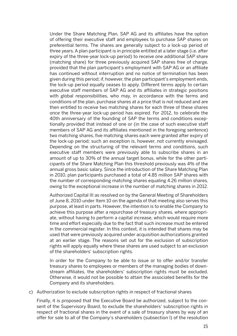Under the Share Matching Plan, SAP AG and its affiliates have the option of offering their executive staff and employees to purchase SAP shares on preferential terms. The shares are generally subject to a lock-up period of three years. A plan participant is in principle entitled at a later stage (i.e. after expiry of the three-year lock-up period) to receive one additional SAP share (matching share) for three previously acquired SAP shares free of charge, provided that the plan participant's employment with SAP AG or an affiliate has continued without interruption and no notice of termination has been given during this period; if, however, the plan participant's employment ends, the lock-up period equally ceases to apply. Different terms apply to certain executive staff members of SAP AG and its affiliates in strategic positions with global responsibilities, who may, in accordance with the terms and conditions of the plan, purchase shares at a price that is not reduced and are then entitled to receive two matching shares for each three of these shares once the three-year lock-up period has expired. For 2012, to celebrate the 40th anniversary of the founding of SAP the terms and conditions exceptionally provided that instead of one or (in the case of such executive staff members of SAP AG and its affiliates mentioned in the foregoing sentence) two matching shares, five matching shares each were granted after expiry of the lock-up period; such an exception is, however, not currently envisaged. Depending on the structuring of the relevant terms and conditions, such executive staff members were previously able to subscribe shares in an amount of up to 30% of the annual target bonus, while for the other participants of the Share Matching Plan this threshold previously was 4% of the annual gross basic salary. Since the introduction of the Share Matching Plan in 2010, plan participants purchased a total of 4.85 million SAP shares with the number of corresponding matching shares equaling 4.26 million shares, owing to the exceptional increase in the number of matching shares in 2012.

 Authorized Capital III as resolved on by the General Meeting of Shareholders of June 8, 2010 under Item 10 on the agenda of that meeting also serves this purpose, at least in parts. However, the intention is to enable the Company to achieve this purpose after a repurchase of treasury shares, where appropriate, without having to perform a capital increase, which would require more time and effort especially due to the fact that such increase must be entered in the commercial register. In this context, it is intended that shares may be used that were previously acquired under acquisition authorizations granted at an earlier stage. The reasons set out for the exclusion of subscription rights will apply equally where these shares are used subject to an exclusion of the shareholders' subscription rights.

 In order for the Company to be able to issue or to offer and/or transfer treasury shares to employees or members of the managing bodies of downstream affiliates, the shareholders' subscription rights must be excluded. Otherwise, it would not be possible to attain the associated benefits for the Company and its shareholders.

c) Authorization to exclude subscription rights in respect of fractional shares

 Finally, it is proposed that the Executive Board be authorized, subject to the consent of the Supervisory Board, to exclude the shareholders' subscription rights in respect of fractional shares in the event of a sale of treasury shares by way of an offer for sale to all of the Company's shareholders (subsection l) of the resolution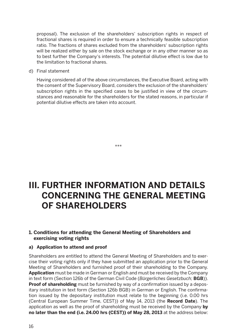proposal). The exclusion of the shareholders' subscription rights in respect of fractional shares is required in order to ensure a technically feasible subscription ratio. The fractions of shares excluded from the shareholders' subscription rights will be realized either by sale on the stock exchange or in any other manner so as to best further the Company's interests. The potential dilutive effect is low due to the limitation to fractional shares.

d) Final statement

 Having considered all of the above circumstances, the Executive Board, acting with the consent of the Supervisory Board, considers the exclusion of the shareholders' subscription rights in the specified cases to be justified in view of the circumstances and reasonable for the shareholders for the stated reasons, in particular if potential dilutive effects are taken into account.

# **III. FURTHER INFORMATION AND DETAILS CONCERNING THE GENERAL MEETING OF SHAREHOLDERS**

\*\*\*

#### **1. Conditions for attending the General Meeting of Shareholders and exercising voting rights**

#### **a) Application to attend and proof**

Shareholders are entitled to attend the General Meeting of Shareholders and to exercise their voting rights only if they have submitted an application prior to the General Meeting of Shareholders and furnished proof of their shareholding to the Company. **Application** must be made in German or English and must be received by the Company in text form (Section 126b of the German Civil Code (*Bürgerliches Gesetzbuch;* **BGB**)). **Proof of shareholding** must be furnished by way of a confirmation issued by a depositary institution in text form (Section 126b BGB) in German or English. The confirmation issued by the depositary institution must relate to the beginning (i.e. 0.00 hrs (Central European Summer Time, CEST)) of May 14, 2013 (the **Record Date**). The application as well as the proof of shareholding must be received by the Company **by no later than the end (i.e. 24.00 hrs (CEST)) of May 28, 2013** at the address below: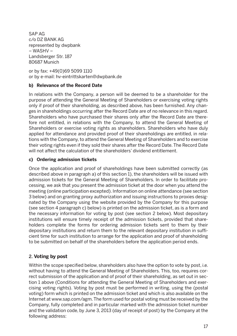SAP AG c/o DZ BANK AG represented by dwpbank – WASHV – Landsberger Str. 187 80687 Munich

or by fax: +49(0)69 5099 1110 or by e-mail: hv-eintrittskarten@dwpbank.de

#### **b) Relevance of the Record Date**

In relations with the Company, a person will be deemed to be a shareholder for the purpose of attending the General Meeting of Shareholders or exercising voting rights only if proof of their shareholding, as described above, has been furnished. Any changes in shareholdings occurring after the Record Date are of no relevance in this regard. Shareholders who have purchased their shares only after the Record Date are therefore not entitled, in relations with the Company, to attend the General Meeting of Shareholders or exercise voting rights as shareholders. Shareholders who have duly applied for attendance and provided proof of their shareholdings are entitled, in relations with the Company, to attend the General Meeting of Shareholders and to exercise their voting rights even if they sold their shares after the Record Date. The Record Date will not affect the calculation of the shareholders' dividend entitlement.

#### **c) Ordering admission tickets**

Once the application and proof of shareholdings have been submitted correctly (as described above in paragraph a) of this section 1), the shareholders will be issued with admission tickets for the General Meeting of Shareholders. In order to facilitate processing, we ask that you present the admission ticket at the door when you attend the meeting (online participation excepted). Information on online attendance (see section 3 below) and on granting proxy authorization and issuing instructions to proxies designated by the Company using the website provided by the Company for this purpose (see section 4 paragraph c) below) is printed on the admission ticket, as is a form and the necessary information for voting by post (see section 2 below). Most depositary institutions will ensure timely receipt of the admission tickets, provided that shareholders complete the forms for ordering admission tickets sent to them by their depositary institutions and return them to the relevant depositary institution in sufficient time for such institution to arrange for the application and proof of shareholding to be submitted on behalf of the shareholders before the application period ends.

#### 2. **Voting by post**

Within the scope specified below, shareholders also have the option to vote by post, i.e. without having to attend the General Meeting of Shareholders. This, too, requires correct submission of the application and of proof of their shareholding, as set out in section 1 above (Conditions for attending the General Meeting of Shareholders and exercising voting rights). Voting by post must be performed in writing, using the (postal voting) form which is printed on the admission ticket and which is also available on the Internet at www.sap.com/agm. The form used for postal voting must be received by the Company, fully completed and in particular marked with the admission ticket number and the validation code, by June 3, 2013 (day of receipt of post) by the Company at the following address: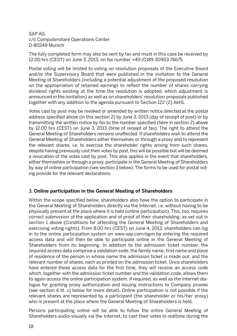#### SAP AG c/o Computershare Operations Center D-80249 Munich

The fully completed form may also be sent by fax and must in this case be received by 12.00 hrs (CEST) on June 3, 2013, on fax number +49 (0)89 30903 74675.

Postal voting will be limited to voting on resolution proposals of the Executive Board and/or the Supervisory Board that were published in the invitation to the General Meeting of Shareholders (including a potential adjustment of the proposed resolution on the appropriation of retained earnings to reflect the number of shares carrying dividend rights existing at the time the resolution is adopted, which adjustment is announced in the invitation) as well as on shareholders' resolution proposals published together with any addition to the agenda pursuant to Section 122 (2) AktG.

Votes cast by post may be revoked or amended by written notice directed at the postal address specified above (in this section 2) by June 3, 2013 (day of receipt of post) or by transmitting the written notice by fax to the number specified (here in section 2) above by 12.00 hrs (CEST) on June 3, 2013 (time of receipt of fax). The right to attend the General Meeting of Shareholders remains unaffected. If shareholders wish to attend the General Meeting of Shareholders either themselves or through a proxy and to represent the relevant shares, i.e. to exercise the shareholder rights arising from such shares, despite having previously cast their votes by post, this will be possible but will be deemed a revocation of the votes cast by post. This also applies in the event that shareholders, either themselves or through a proxy, participate in the General Meeting of Shareholders by way of online participation (see section 3 below). The forms to be used for postal voting provide for the relevant declarations.

#### 3. **Online participation in the General Meeting of Shareholders**

Within the scope specified below, shareholders also have the option to participate in the General Meeting of Shareholders directly via the Internet, i.e. without having to be physically present at the place where it is held (online participation). This, too, requires correct submission of the application and of proof of their shareholding, as set out in section 1 above (Conditions for attending the General Meeting of Shareholders and exercising voting rights). From 8.00 hrs (CEST) on June 4, 2013, shareholders can log in to the online participation system on www.sap.com/agm by entering the required access data and will then be able to participate online in the General Meeting of Shareholders from its beginning. In addition to the admission ticket number, the required access data comprise a validation code, the family name, first name and place of residence of the person in whose name the admission ticket is made out, and the relevant number of shares, each as printed on the admission ticket. Once shareholders have entered these access data for the first time, they will receive an access code which, together with the admission ticket number and the validation code, allows them to again access the online participation system, if required, as well as the Internet dialogue for granting proxy authorization and issuing instructions to Company proxies (see section 4 lit. c) below for more detail). Online participation is not possible if the relevant shares are represented by a participant (the shareholder or his/her proxy) who is present at the place where the General Meeting of Shareholders is held.

Persons participating online will be able to follow the entire General Meeting of Shareholders audio-visually via the Internet, to cast their votes in realtime during the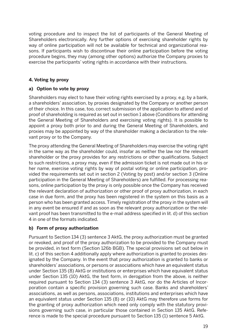voting procedure and to inspect the list of participants of the General Meeting of Shareholders electronically. Any further options of exercising shareholder rights by way of online participation will not be available for technical and organizational reasons. If participants wish to discontinue their online participation before the voting procedure begins, they may (among other options) authorize the Company proxies to exercise the participants' voting rights in accordance with their instructions.

#### **4. Voting by proxy**

#### **a) Option to vote by proxy**

Shareholders may elect to have their voting rights exercised by a proxy, e.g. by a bank, a shareholders' association, by proxies designated by the Company or another person of their choice. In this case, too, correct submission of the application to attend and of proof of shareholding is required as set out in section 1 above (Conditions for attending the General Meeting of Shareholders and exercising voting rights). It is possible to appoint a proxy both prior to and during the General Meeting of Shareholders, and proxies may be appointed by way of the shareholder making a declaration to the relevant proxy or to the Company.

The proxy attending the General Meeting of Shareholders may exercise the voting right in the same way as the shareholder could, insofar as neither the law nor the relevant shareholder or the proxy provides for any restrictions or other qualifications. Subject to such restrictions, a proxy may, even if the admission ticket is not made out in his or her name, exercise voting rights by way of postal voting or online participation, provided the requirements set out in section 2 (Voting by post) and/or section 3 (Online participation in the General Meeting of Shareholders) are fulfilled. For processing reasons, online participation by the proxy is only possible once the Company has received the relevant declaration of authorization or other proof of proxy authorization, in each case in due form, and the proxy has been registered in the system on this basis as a person who has been granted access. Timely registration of the proxy in the system will in any event be ensured if and as soon as the relevant proxy authorization or the relevant proof has been transmitted to the e-mail address specified in lit. d) of this section 4 in one of the formats indicated.

#### **b) Form of proxy authorization**

Pursuant to Section 134 (3) sentence 3 AktG, the proxy authorization must be granted or revoked, and proof of the proxy authorization to be provided to the Company must be provided, in text form (Section 126b BGB). The special provisions set out below in lit. c) of this section 4 additionally apply where authorization is granted to proxies designated by the Company. In the event that proxy authorization is granted to banks or shareholders' associations, or persons or associations which have an equivalent status under Section 135 (8) AktG or institutions or enterprises which have equivalent status under Section 135 (10) AktG, the text form, in derogation from the above, is neither required pursuant to Section 134 (3) sentence 3 AktG, nor do the Articles of Incorporation contain a specific provision governing such case. Banks and shareholders' associations, as well as persons, associations, institutions and enterprises which have an equivalent status under Section 135 (8) or (10) AktG may therefore use forms for the granting of proxy authorization which need only comply with the statutory provisions governing such case, in particular those contained in Section 135 AktG. Reference is made to the special procedure pursuant to Section 135 (1) sentence 5 AktG.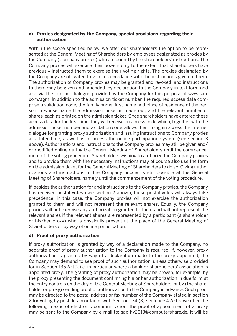#### **c) Proxies designated by the Company, special provisions regarding their authorization**

Within the scope specified below, we offer our shareholders the option to be represented at the General Meeting of Shareholders by employees designated as proxies by the Company (Company proxies) who are bound by the shareholders' instructions. The Company proxies will exercise their powers only to the extent that shareholders have previously instructed them to exercise their voting rights. The proxies designated by the Company are obligated to vote in accordance with the instructions given to them. The authorization of Company proxies may be granted and revoked, and instructions to them may be given and amended, by declaration to the Company in text form and also via the Internet dialogue provided by the Company for this purpose at www.sap. com/agm. In addition to the admission ticket number, the required access data comprise a validation code, the family name, first name and place of residence of the person in whose name the admission ticket is made out, and the relevant number of shares, each as printed on the admission ticket. Once shareholders have entered these access data for the first time, they will receive an access code which, together with the admission ticket number and validation code, allows them to again access the Internet dialogue for granting proxy authorization and issuing instructions to Company proxies at a later time, as well as to access the online participation system (see section 3 above). Authorizations and instructions to the Company proxies may still be given and/ or modified online during the General Meeting of Shareholders until the commencement of the voting procedure. Shareholders wishing to authorize the Company proxies and to provide them with the necessary instructions may of course also use the form on the admission ticket for the General Meeting of Shareholders to do so. Giving authorizations and instructions to the Company proxies is still possible at the General Meeting of Shareholders, namely until the commencement of the voting procedure.

If, besides the authorization for and instructions to the Company proxies, the Company has received postal votes (see section 2 above), these postal votes will always take precedence; in this case, the Company proxies will not exercise the authorization granted to them and will not represent the relevant shares. Equally, the Company proxies will not exercise any authorization granted to them and will not represent the relevant shares if the relevant shares are represented by a participant (a shareholder or his/her proxy) who is physically present at the place of the General Meeting of Shareholders or by way of online participation.

#### **d) Proof of proxy authorization**

If proxy authorization is granted by way of a declaration made to the Company, no separate proof of proxy authorization to the Company is required. If, however, proxy authorization is granted by way of a declaration made to the proxy appointed, the Company may demand to see proof of such authorization, unless otherwise provided for in Section 135 AktG, i.e. in particular where a bank or shareholders' association is appointed proxy. The granting of proxy authorization may be proven, for example, by the proxy presenting the document confirming his or her authorization in due form at the entry controls on the day of the General Meeting of Shareholders, or by (the shareholder or proxy) sending proof of authorization to the Company in advance. Such proof may be directed to the postal address or fax number of the Company stated in section 2 for voting by post. In accordance with Section 134 (3) sentence 4 AktG, we offer the following means of electronic communication: the proof of appointment of a proxy may be sent to the Company by e-mail to: sap-hv2013@computershare.de. It will be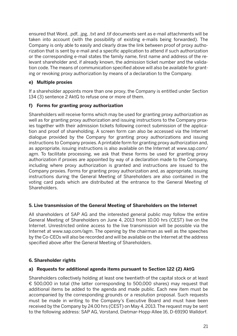ensured that Word, .pdf, .jpg, .txt and .tif documents sent as e-mail attachments will be taken into account (with the possibility of existing e-mails being forwarded). The Company is only able to easily and clearly draw the link between proof of proxy authorization that is sent by e-mail and a specific application to attend if such authorization or the corresponding e-mail states the family name, first name and address of the relevant shareholder and, if already known, the admission ticket number and the validation code. The means of communication specified above will also be available for granting or revoking proxy authorization by means of a declaration to the Company.

#### **e) Multiple proxies**

If a shareholder appoints more than one proxy, the Company is entitled under Section 134 (3) sentence 2 AktG to refuse one or more of them.

#### **f) Forms for granting proxy authorization**

Shareholders will receive forms which may be used for granting proxy authorization as well as for granting proxy authorization and issuing instructions to the Company proxies together with their admission tickets following correct submission of the application and proof of shareholding. A screen form can also be accessed via the Internet dialogue provided by the Company for granting proxy authorizations and issuing instructions to Company proxies. A printable form for granting proxy authorization and, as appropriate, issuing instructions is also available on the Internet at www.sap.com/ agm. To facilitate processing, we ask that these forms be used for granting proxy authorization if proxies are appointed by way of a declaration made to the Company, including where proxy authorization is granted and instructions are issued to the Company proxies. Forms for granting proxy authorization and, as appropriate, issuing instructions during the General Meeting of Shareholders are also contained in the voting card pads which are distributed at the entrance to the General Meeting of Shareholders.

#### **5. Live transmission of the General Meeting of Shareholders on the Internet**

All shareholders of SAP AG and the interested general public may follow the entire General Meeting of Shareholders on June 4, 2013 from 10.00 hrs (CEST) live on the Internet. Unrestricted online access to the live transmission will be possible via the Internet at www.sap.com/agm. The opening by the chairman as well as the speeches by the Co-CEOs will also be recorded and will be available on the Internet at the address specified above after the General Meeting of Shareholders.

#### **6. Shareholder rights**

#### **a) Requests for additional agenda items pursuant to Section 122 (2) AktG**

Shareholders collectively holding at least one twentieth of the capital stock or at least € 500,000 in total (the latter corresponding to 500,000 shares) may request that additional items be added to the agenda and made public. Each new item must be accompanied by the corresponding grounds or a resolution proposal. Such requests must be made in writing to the Company's Executive Board and must have been received by the Company by 24.00 hrs (CEST) on May 4, 2013. The request may be sent to the following address: SAP AG, Vorstand, Dietmar-Hopp-Allee 16, D-69190 Walldorf.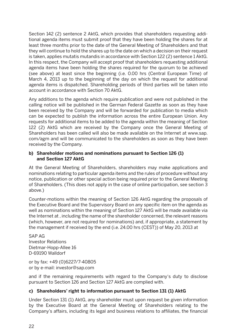Section 142 (2) sentence 2 AktG, which provides that shareholders requesting additional agenda items must submit proof that they have been holding the shares for at least three months prior to the date of the General Meeting of Shareholders and that they will continue to hold the shares up to the date on which a decision on their request is taken, applies mutatis mutandis in accordance with Section 122 (2) sentence 1 AktG. In this respect, the Company will accept proof that shareholders requesting additional agenda items have been holding the shares required for the quorum to be achieved (see above) at least since the beginning (i.e. 0.00 hrs (Central European Time) of March 4, 2013 up to the beginning of the day on which the request for additional agenda items is dispatched. Shareholding periods of third parties will be taken into account in accordance with Section 70 AktG.

Any additions to the agenda which require publication and were not published in the calling notice will be published in the German Federal Gazette as soon as they have been received by the Company and will be forwarded for publication to media which can be expected to publish the information across the entire European Union. Any requests for additional items to be added to the agenda within the meaning of Section 122 (2) AktG which are received by the Company once the General Meeting of Shareholders has been called will also be made available on the Internet at www.sap. com/agm and will be communicated to the shareholders as soon as they have been received by the Company.

#### **b) Shareholder motions and nominations pursuant to Section 126 (1) and Section 127 AktG**

At the General Meeting of Shareholders, shareholders may make applications and nominations relating to particular agenda items and the rules of procedure without any notice, publication or other special action being required prior to the General Meeting of Shareholders. (This does not apply in the case of online participation, see section 3 above.)

Counter-motions within the meaning of Section 126 AktG regarding the proposals of the Executive Board and the Supervisory Board on any specific item on the agenda as well as nominations within the meaning of Section 127 AktG will be made available via the Internet at , including the name of the shareholder concerned, the relevant reasons (which, however, are not required for nominations) and, if appropriate, a statement by the management if received by the end (i.e. 24.00 hrs (CEST)) of May 20, 2013 at

SAP AG Investor Relations Dietmar-Hopp-Allee 16 D-69190 Walldorf

or by fax: +49 (0)6227/7-40805 or by e-mail: investor@sap.com

and if the remaining requirements with regard to the Company's duty to disclose pursuant to Section 126 and Section 127 AktG are complied with.

#### **c) Shareholders' right to information pursuant to Section 131 (1) AktG**

Under Section 131 (1) AktG, any shareholder must upon request be given information by the Executive Board at the General Meeting of Shareholders relating to the Company's affairs, including its legal and business relations to affiliates, the financial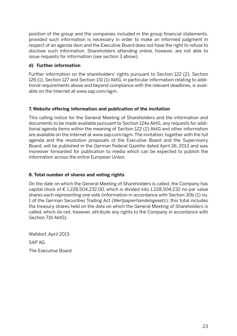position of the group and the companies included in the group financial statements, provided such information is necessary in order to make an informed judgment in respect of an agenda item and the Executive Board does not have the right to refuse to disclose such information. Shareholders attending online, however, are not able to issue requests for information (see section 3 above).

#### **d) Further information**

Further information on the shareholders' rights pursuant to Section 122 (2), Section 126 (1), Section 127 and Section 131 (1) AktG, in particular information relating to additional requirements above and beyond compliance with the relevant deadlines, is available on the Internet at www.sap.com/agm.

#### **7. Website offering information and publication of the invitation**

This calling notice for the General Meeting of Shareholders and the information and documents to be made available pursuant to Section 124a AktG, any requests for additional agenda items within the meaning of Section 122 (2) AktG and other information are available on the Internet at www.sap.com/agm. The invitation, together with the full agenda and the resolution proposals of the Executive Board and the Supervisory Board, will be published in the German Federal Gazette dated April 26, 2013 and was moreover forwarded for publication to media which can be expected to publish the information across the entire European Union.

#### **8. Total number of shares and voting rights**

On the date on which the General Meeting of Shareholders is called, the Company has capital stock of  $\epsilon$  1,228,504,232,00, which is divided into 1,228,504,232 no-par value shares each representing one vote (information in accordance with Section 30b (1) no. 1 of the German Securities Trading Act (*Wertpapierhandelsgesetz*); this total includes the treasury shares held on the date on which the General Meeting of Shareholders is called, which do not, however, attribute any rights to the Company in accordance with Section 71b AktG).

Walldorf, April 2013 SAP AG The Executive Board